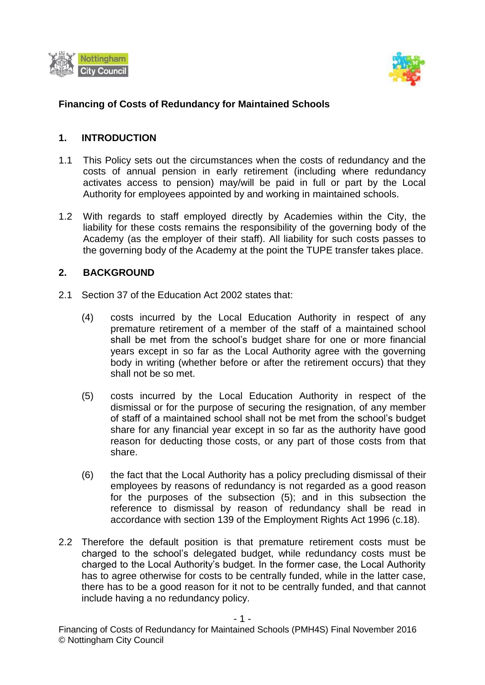



## **Financing of Costs of Redundancy for Maintained Schools**

### **1. INTRODUCTION**

- 1.1 This Policy sets out the circumstances when the costs of redundancy and the costs of annual pension in early retirement (including where redundancy activates access to pension) may/will be paid in full or part by the Local Authority for employees appointed by and working in maintained schools.
- 1.2 With regards to staff employed directly by Academies within the City, the liability for these costs remains the responsibility of the governing body of the Academy (as the employer of their staff). All liability for such costs passes to the governing body of the Academy at the point the TUPE transfer takes place.

#### **2. BACKGROUND**

- 2.1 Section 37 of the Education Act 2002 states that:
	- (4) costs incurred by the Local Education Authority in respect of any premature retirement of a member of the staff of a maintained school shall be met from the school's budget share for one or more financial years except in so far as the Local Authority agree with the governing body in writing (whether before or after the retirement occurs) that they shall not be so met.
	- (5) costs incurred by the Local Education Authority in respect of the dismissal or for the purpose of securing the resignation, of any member of staff of a maintained school shall not be met from the school's budget share for any financial year except in so far as the authority have good reason for deducting those costs, or any part of those costs from that share.
	- (6) the fact that the Local Authority has a policy precluding dismissal of their employees by reasons of redundancy is not regarded as a good reason for the purposes of the subsection (5); and in this subsection the reference to dismissal by reason of redundancy shall be read in accordance with section 139 of the Employment Rights Act 1996 (c.18).
- 2.2 Therefore the default position is that premature retirement costs must be charged to the school's delegated budget, while redundancy costs must be charged to the Local Authority's budget. In the former case, the Local Authority has to agree otherwise for costs to be centrally funded, while in the latter case, there has to be a good reason for it not to be centrally funded, and that cannot include having a no redundancy policy.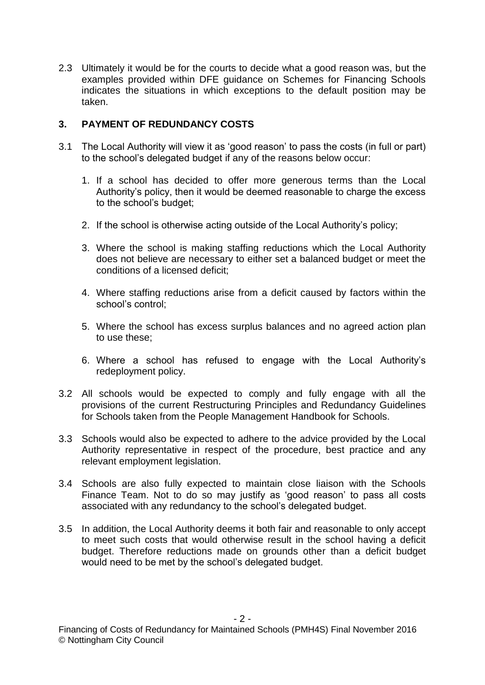2.3 Ultimately it would be for the courts to decide what a good reason was, but the examples provided within DFE guidance on Schemes for Financing Schools indicates the situations in which exceptions to the default position may be taken.

# **3. PAYMENT OF REDUNDANCY COSTS**

- 3.1 The Local Authority will view it as 'good reason' to pass the costs (in full or part) to the school's delegated budget if any of the reasons below occur:
	- 1. If a school has decided to offer more generous terms than the Local Authority's policy, then it would be deemed reasonable to charge the excess to the school's budget;
	- 2. If the school is otherwise acting outside of the Local Authority's policy;
	- 3. Where the school is making staffing reductions which the Local Authority does not believe are necessary to either set a balanced budget or meet the conditions of a licensed deficit;
	- 4. Where staffing reductions arise from a deficit caused by factors within the school's control;
	- 5. Where the school has excess surplus balances and no agreed action plan to use these;
	- 6. Where a school has refused to engage with the Local Authority's redeployment policy.
- 3.2 All schools would be expected to comply and fully engage with all the provisions of the current Restructuring Principles and Redundancy Guidelines for Schools taken from the People Management Handbook for Schools.
- 3.3 Schools would also be expected to adhere to the advice provided by the Local Authority representative in respect of the procedure, best practice and any relevant employment legislation.
- 3.4 Schools are also fully expected to maintain close liaison with the Schools Finance Team. Not to do so may justify as 'good reason' to pass all costs associated with any redundancy to the school's delegated budget.
- 3.5 In addition, the Local Authority deems it both fair and reasonable to only accept to meet such costs that would otherwise result in the school having a deficit budget. Therefore reductions made on grounds other than a deficit budget would need to be met by the school's delegated budget.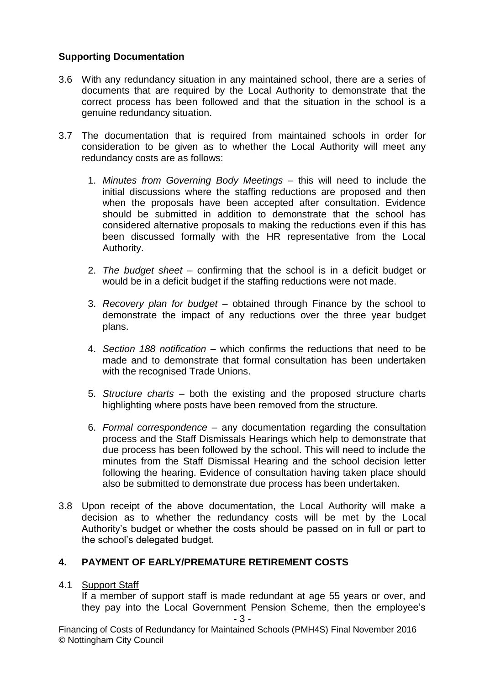## **Supporting Documentation**

- 3.6 With any redundancy situation in any maintained school, there are a series of documents that are required by the Local Authority to demonstrate that the correct process has been followed and that the situation in the school is a genuine redundancy situation.
- 3.7 The documentation that is required from maintained schools in order for consideration to be given as to whether the Local Authority will meet any redundancy costs are as follows:
	- 1. *Minutes from Governing Body Meetings*  this will need to include the initial discussions where the staffing reductions are proposed and then when the proposals have been accepted after consultation. Evidence should be submitted in addition to demonstrate that the school has considered alternative proposals to making the reductions even if this has been discussed formally with the HR representative from the Local Authority.
	- 2. *The budget sheet* confirming that the school is in a deficit budget or would be in a deficit budget if the staffing reductions were not made.
	- 3. *Recovery plan for budget* obtained through Finance by the school to demonstrate the impact of any reductions over the three year budget plans.
	- 4. *Section 188 notification*  which confirms the reductions that need to be made and to demonstrate that formal consultation has been undertaken with the recognised Trade Unions.
	- 5. *Structure charts*  both the existing and the proposed structure charts highlighting where posts have been removed from the structure.
	- 6. *Formal correspondence*  any documentation regarding the consultation process and the Staff Dismissals Hearings which help to demonstrate that due process has been followed by the school. This will need to include the minutes from the Staff Dismissal Hearing and the school decision letter following the hearing. Evidence of consultation having taken place should also be submitted to demonstrate due process has been undertaken.
- 3.8 Upon receipt of the above documentation, the Local Authority will make a decision as to whether the redundancy costs will be met by the Local Authority's budget or whether the costs should be passed on in full or part to the school's delegated budget.

## **4. PAYMENT OF EARLY/PREMATURE RETIREMENT COSTS**

4.1 Support Staff

If a member of support staff is made redundant at age 55 years or over, and they pay into the Local Government Pension Scheme, then the employee's

Financing of Costs of Redundancy for Maintained Schools (PMH4S) Final November 2016 © Nottingham City Council